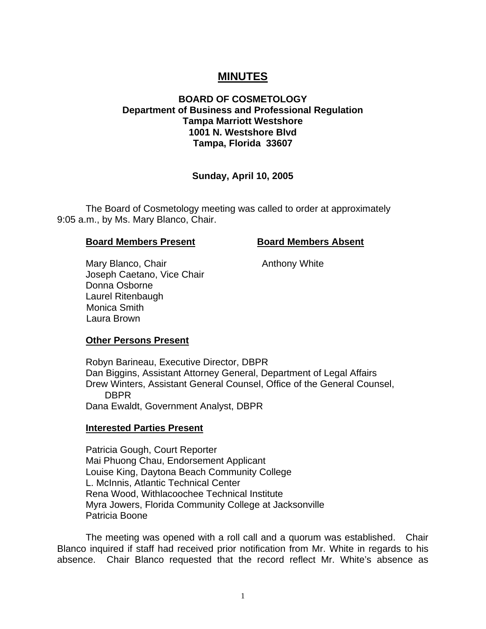# **MINUTES**

## **BOARD OF COSMETOLOGY Department of Business and Professional Regulation Tampa Marriott Westshore 1001 N. Westshore Blvd Tampa, Florida 33607**

#### **Sunday, April 10, 2005**

The Board of Cosmetology meeting was called to order at approximately 9:05 a.m., by Ms. Mary Blanco, Chair.

#### **Board Members Present Board Members Absent**

Mary Blanco, Chair **Anthony White** Joseph Caetano, Vice Chair Donna Osborne Laurel Ritenbaugh Monica Smith Laura Brown

#### **Other Persons Present**

Robyn Barineau, Executive Director, DBPR Dan Biggins, Assistant Attorney General, Department of Legal Affairs Drew Winters, Assistant General Counsel, Office of the General Counsel, DBPR Dana Ewaldt, Government Analyst, DBPR

#### **Interested Parties Present**

Patricia Gough, Court Reporter Mai Phuong Chau, Endorsement Applicant Louise King, Daytona Beach Community College L. McInnis, Atlantic Technical Center Rena Wood, Withlacoochee Technical Institute Myra Jowers, Florida Community College at Jacksonville Patricia Boone

The meeting was opened with a roll call and a quorum was established. Chair Blanco inquired if staff had received prior notification from Mr. White in regards to his absence. Chair Blanco requested that the record reflect Mr. White's absence as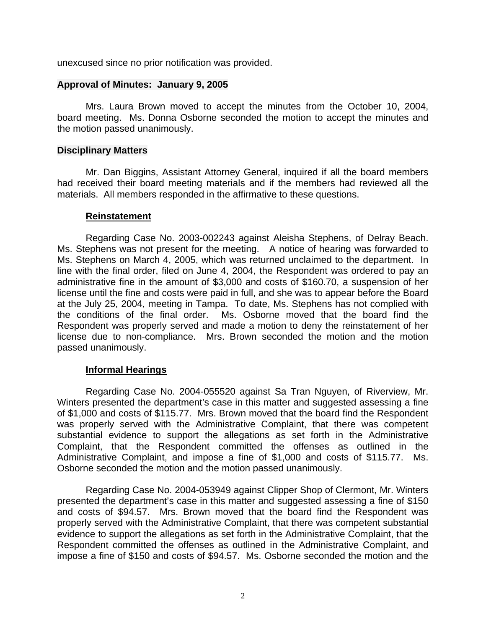unexcused since no prior notification was provided.

## **Approval of Minutes: January 9, 2005**

Mrs. Laura Brown moved to accept the minutes from the October 10, 2004, board meeting. Ms. Donna Osborne seconded the motion to accept the minutes and the motion passed unanimously.

## **Disciplinary Matters**

Mr. Dan Biggins, Assistant Attorney General, inquired if all the board members had received their board meeting materials and if the members had reviewed all the materials. All members responded in the affirmative to these questions.

### **Reinstatement**

Regarding Case No. 2003-002243 against Aleisha Stephens, of Delray Beach. Ms. Stephens was not present for the meeting. A notice of hearing was forwarded to Ms. Stephens on March 4, 2005, which was returned unclaimed to the department. In line with the final order, filed on June 4, 2004, the Respondent was ordered to pay an administrative fine in the amount of \$3,000 and costs of \$160.70, a suspension of her license until the fine and costs were paid in full, and she was to appear before the Board at the July 25, 2004, meeting in Tampa. To date, Ms. Stephens has not complied with the conditions of the final order. Ms. Osborne moved that the board find the Respondent was properly served and made a motion to deny the reinstatement of her license due to non-compliance. Mrs. Brown seconded the motion and the motion passed unanimously.

## **Informal Hearings**

Regarding Case No. 2004-055520 against Sa Tran Nguyen, of Riverview, Mr. Winters presented the department's case in this matter and suggested assessing a fine of \$1,000 and costs of \$115.77. Mrs. Brown moved that the board find the Respondent was properly served with the Administrative Complaint, that there was competent substantial evidence to support the allegations as set forth in the Administrative Complaint, that the Respondent committed the offenses as outlined in the Administrative Complaint, and impose a fine of \$1,000 and costs of \$115.77. Ms. Osborne seconded the motion and the motion passed unanimously.

Regarding Case No. 2004-053949 against Clipper Shop of Clermont, Mr. Winters presented the department's case in this matter and suggested assessing a fine of \$150 and costs of \$94.57. Mrs. Brown moved that the board find the Respondent was properly served with the Administrative Complaint, that there was competent substantial evidence to support the allegations as set forth in the Administrative Complaint, that the Respondent committed the offenses as outlined in the Administrative Complaint, and impose a fine of \$150 and costs of \$94.57. Ms. Osborne seconded the motion and the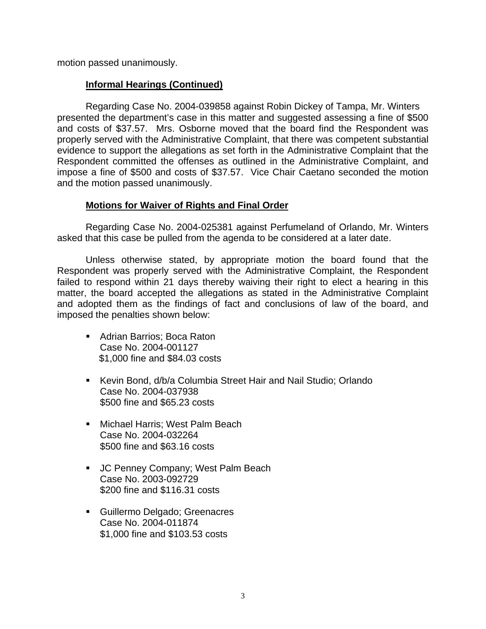motion passed unanimously.

## **Informal Hearings (Continued)**

Regarding Case No. 2004-039858 against Robin Dickey of Tampa, Mr. Winters presented the department's case in this matter and suggested assessing a fine of \$500 and costs of \$37.57. Mrs. Osborne moved that the board find the Respondent was properly served with the Administrative Complaint, that there was competent substantial evidence to support the allegations as set forth in the Administrative Complaint that the Respondent committed the offenses as outlined in the Administrative Complaint, and impose a fine of \$500 and costs of \$37.57. Vice Chair Caetano seconded the motion and the motion passed unanimously.

# **Motions for Waiver of Rights and Final Order**

Regarding Case No. 2004-025381 against Perfumeland of Orlando, Mr. Winters asked that this case be pulled from the agenda to be considered at a later date.

Unless otherwise stated, by appropriate motion the board found that the Respondent was properly served with the Administrative Complaint, the Respondent failed to respond within 21 days thereby waiving their right to elect a hearing in this matter, the board accepted the allegations as stated in the Administrative Complaint and adopted them as the findings of fact and conclusions of law of the board, and imposed the penalties shown below:

- Adrian Barrios: Boca Raton Case No. 2004-001127 \$1,000 fine and \$84.03 costs
- Kevin Bond, d/b/a Columbia Street Hair and Nail Studio; Orlando Case No. 2004-037938 \$500 fine and \$65.23 costs
- **Michael Harris: West Palm Beach** Case No. 2004-032264 \$500 fine and \$63.16 costs
- **JC Penney Company; West Palm Beach** Case No. 2003-092729 \$200 fine and \$116.31 costs
- Guillermo Delgado; Greenacres Case No. 2004-011874 \$1,000 fine and \$103.53 costs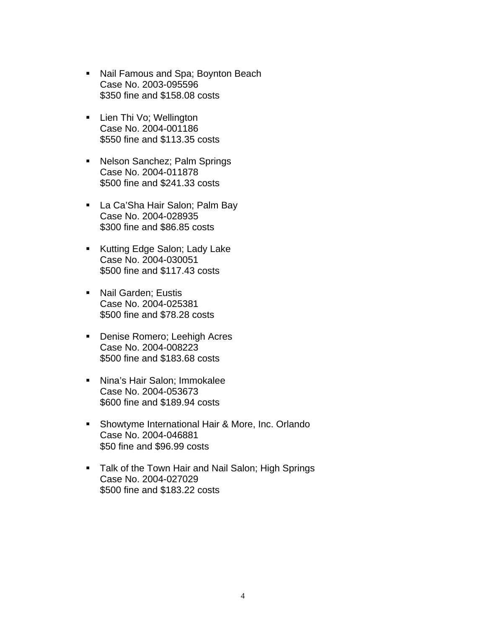- **Nail Famous and Spa; Boynton Beach** Case No. 2003-095596 \$350 fine and \$158.08 costs
- **Lien Thi Vo; Wellington** Case No. 2004-001186 \$550 fine and \$113.35 costs
- Nelson Sanchez; Palm Springs Case No. 2004-011878 \$500 fine and \$241.33 costs
- **La Ca'Sha Hair Salon; Palm Bay** Case No. 2004-028935 \$300 fine and \$86.85 costs
- **Kutting Edge Salon; Lady Lake** Case No. 2004-030051 \$500 fine and \$117.43 costs
- **Nail Garden; Eustis** Case No. 2004-025381 \$500 fine and \$78.28 costs
- **Denise Romero; Leehigh Acres** Case No. 2004-008223 \$500 fine and \$183.68 costs
- Nina's Hair Salon; Immokalee Case No. 2004-053673 \$600 fine and \$189.94 costs
- **Showtyme International Hair & More, Inc. Orlando** Case No. 2004-046881 \$50 fine and \$96.99 costs
- **Talk of the Town Hair and Nail Salon; High Springs** Case No. 2004-027029 \$500 fine and \$183.22 costs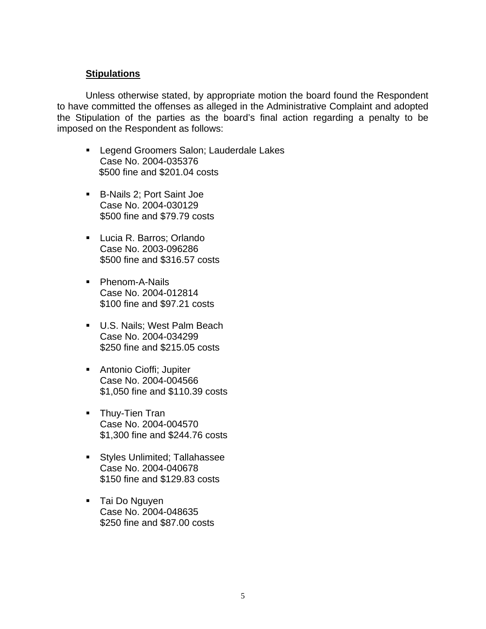## **Stipulations**

Unless otherwise stated, by appropriate motion the board found the Respondent to have committed the offenses as alleged in the Administrative Complaint and adopted the Stipulation of the parties as the board's final action regarding a penalty to be imposed on the Respondent as follows:

- **EXEGEND GROOMERS Salon; Lauderdale Lakes** Case No. 2004-035376 \$500 fine and \$201.04 costs
- B-Nails 2; Port Saint Joe Case No. 2004-030129 \$500 fine and \$79.79 costs
- Lucia R. Barros; Orlando Case No. 2003-096286 \$500 fine and \$316.57 costs
- **Phenom-A-Nails** Case No. 2004-012814 \$100 fine and \$97.21 costs
- **U.S. Nails; West Palm Beach** Case No. 2004-034299 \$250 fine and \$215.05 costs
- **Antonio Cioffi**; Jupiter Case No. 2004-004566 \$1,050 fine and \$110.39 costs
- **Thuy-Tien Tran** Case No. 2004-004570 \$1,300 fine and \$244.76 costs
- **Styles Unlimited; Tallahassee** Case No. 2004-040678 \$150 fine and \$129.83 costs
- **Tai Do Nguyen** Case No. 2004-048635 \$250 fine and \$87.00 costs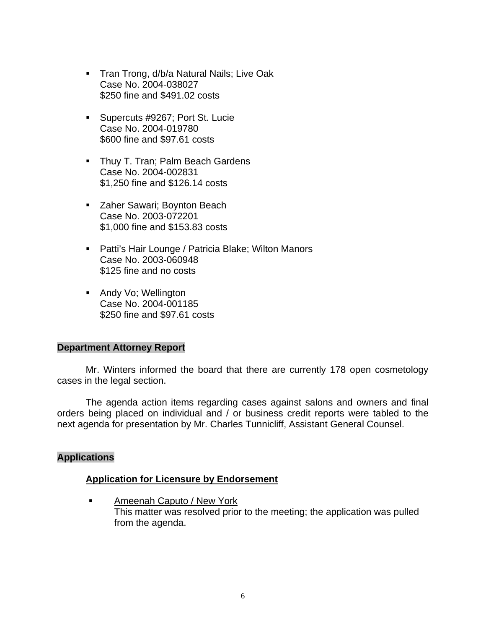- **Tran Trong, d/b/a Natural Nails; Live Oak** Case No. 2004-038027 \$250 fine and \$491.02 costs
- **Supercuts #9267; Port St. Lucie** Case No. 2004-019780 \$600 fine and \$97.61 costs
- **Thuy T. Tran; Palm Beach Gardens** Case No. 2004-002831 \$1,250 fine and \$126.14 costs
- **EXA** Zaher Sawari; Boynton Beach Case No. 2003-072201 \$1,000 fine and \$153.83 costs
- Patti's Hair Lounge / Patricia Blake; Wilton Manors Case No. 2003-060948 \$125 fine and no costs
- **Andy Vo; Wellington** Case No. 2004-001185 \$250 fine and \$97.61 costs

#### **Department Attorney Report**

Mr. Winters informed the board that there are currently 178 open cosmetology cases in the legal section.

The agenda action items regarding cases against salons and owners and final orders being placed on individual and / or business credit reports were tabled to the next agenda for presentation by Mr. Charles Tunnicliff, Assistant General Counsel.

## **Applications**

## **Application for Licensure by Endorsement**

**Ameenah Caputo / New York** This matter was resolved prior to the meeting; the application was pulled from the agenda.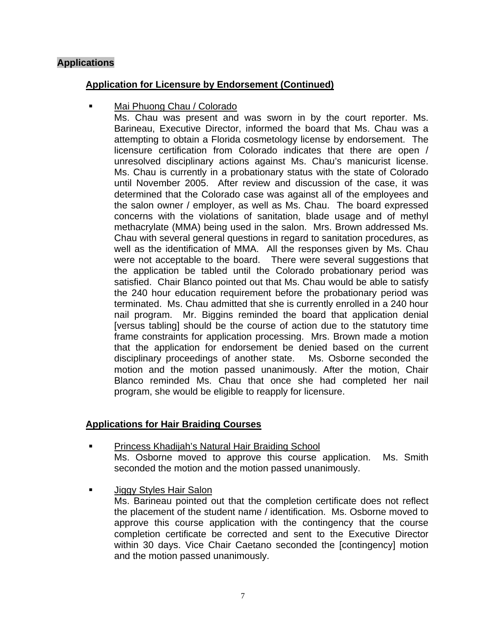# **Applications**

## **Application for Licensure by Endorsement (Continued)**

Mai Phuong Chau / Colorado

Ms. Chau was present and was sworn in by the court reporter. Ms. Barineau, Executive Director, informed the board that Ms. Chau was a attempting to obtain a Florida cosmetology license by endorsement. The licensure certification from Colorado indicates that there are open / unresolved disciplinary actions against Ms. Chau's manicurist license. Ms. Chau is currently in a probationary status with the state of Colorado until November 2005. After review and discussion of the case, it was determined that the Colorado case was against all of the employees and the salon owner / employer, as well as Ms. Chau. The board expressed concerns with the violations of sanitation, blade usage and of methyl methacrylate (MMA) being used in the salon. Mrs. Brown addressed Ms. Chau with several general questions in regard to sanitation procedures, as well as the identification of MMA. All the responses given by Ms. Chau were not acceptable to the board. There were several suggestions that the application be tabled until the Colorado probationary period was satisfied. Chair Blanco pointed out that Ms. Chau would be able to satisfy the 240 hour education requirement before the probationary period was terminated. Ms. Chau admitted that she is currently enrolled in a 240 hour nail program. Mr. Biggins reminded the board that application denial [versus tabling] should be the course of action due to the statutory time frame constraints for application processing. Mrs. Brown made a motion that the application for endorsement be denied based on the current disciplinary proceedings of another state. Ms. Osborne seconded the motion and the motion passed unanimously. After the motion, Chair Blanco reminded Ms. Chau that once she had completed her nail program, she would be eligible to reapply for licensure.

# **Applications for Hair Braiding Courses**

- Princess Khadijah's Natural Hair Braiding School Ms. Osborne moved to approve this course application. Ms. Smith seconded the motion and the motion passed unanimously.
- Jiggy Styles Hair Salon

Ms. Barineau pointed out that the completion certificate does not reflect the placement of the student name / identification. Ms. Osborne moved to approve this course application with the contingency that the course completion certificate be corrected and sent to the Executive Director within 30 days. Vice Chair Caetano seconded the [contingency] motion and the motion passed unanimously.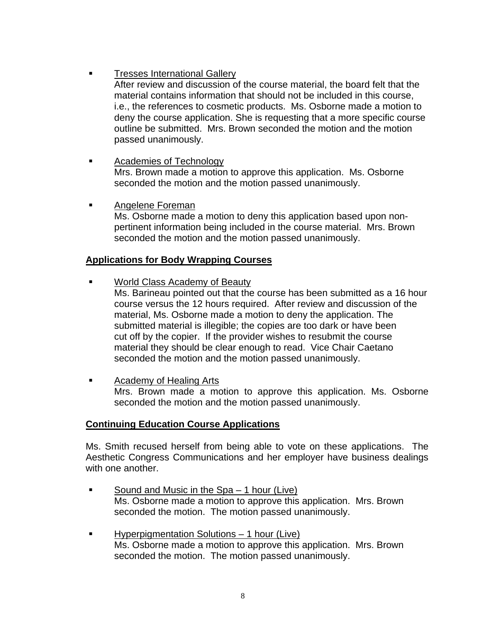Tresses International Gallery

After review and discussion of the course material, the board felt that the material contains information that should not be included in this course, i.e., the references to cosmetic products. Ms. Osborne made a motion to deny the course application. She is requesting that a more specific course outline be submitted. Mrs. Brown seconded the motion and the motion passed unanimously.

- **Academies of Technology** Mrs. Brown made a motion to approve this application. Ms. Osborne seconded the motion and the motion passed unanimously.
- Angelene Foreman Ms. Osborne made a motion to deny this application based upon nonpertinent information being included in the course material. Mrs. Brown seconded the motion and the motion passed unanimously.

# **Applications for Body Wrapping Courses**

World Class Academy of Beauty

Ms. Barineau pointed out that the course has been submitted as a 16 hour course versus the 12 hours required. After review and discussion of the material, Ms. Osborne made a motion to deny the application. The submitted material is illegible; the copies are too dark or have been cut off by the copier. If the provider wishes to resubmit the course material they should be clear enough to read. Vice Chair Caetano seconded the motion and the motion passed unanimously.

**Example 2** Academy of Healing Arts Mrs. Brown made a motion to approve this application. Ms. Osborne seconded the motion and the motion passed unanimously.

## **Continuing Education Course Applications**

Ms. Smith recused herself from being able to vote on these applications. The Aesthetic Congress Communications and her employer have business dealings with one another.

- Sound and Music in the Spa 1 hour (Live) Ms. Osborne made a motion to approve this application. Mrs. Brown seconded the motion. The motion passed unanimously.
- Hyperpigmentation Solutions 1 hour (Live) Ms. Osborne made a motion to approve this application. Mrs. Brown seconded the motion. The motion passed unanimously.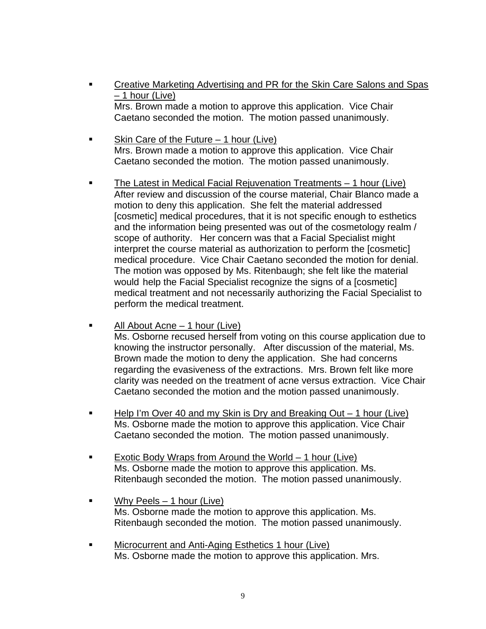- Creative Marketing Advertising and PR for the Skin Care Salons and Spas – 1 hour (Live) Mrs. Brown made a motion to approve this application. Vice Chair Caetano seconded the motion. The motion passed unanimously.
- Skin Care of the Future 1 hour (Live) Mrs. Brown made a motion to approve this application. Vice Chair Caetano seconded the motion. The motion passed unanimously.
- The Latest in Medical Facial Rejuvenation Treatments 1 hour (Live) After review and discussion of the course material, Chair Blanco made a motion to deny this application. She felt the material addressed [cosmetic] medical procedures, that it is not specific enough to esthetics and the information being presented was out of the cosmetology realm / scope of authority. Her concern was that a Facial Specialist might interpret the course material as authorization to perform the [cosmetic] medical procedure. Vice Chair Caetano seconded the motion for denial. The motion was opposed by Ms. Ritenbaugh; she felt like the material would help the Facial Specialist recognize the signs of a [cosmetic] medical treatment and not necessarily authorizing the Facial Specialist to perform the medical treatment.
- $\blacksquare$  All About Acne 1 hour (Live) Ms. Osborne recused herself from voting on this course application due to knowing the instructor personally. After discussion of the material, Ms. Brown made the motion to deny the application. She had concerns regarding the evasiveness of the extractions. Mrs. Brown felt like more clarity was needed on the treatment of acne versus extraction. Vice Chair Caetano seconded the motion and the motion passed unanimously.
- Help I'm Over 40 and my Skin is Dry and Breaking Out 1 hour (Live) Ms. Osborne made the motion to approve this application. Vice Chair Caetano seconded the motion. The motion passed unanimously.
- Exotic Body Wraps from Around the World 1 hour (Live) Ms. Osborne made the motion to approve this application. Ms. Ritenbaugh seconded the motion. The motion passed unanimously.
- Why Peels 1 hour (Live) Ms. Osborne made the motion to approve this application. Ms. Ritenbaugh seconded the motion. The motion passed unanimously.
- **EXECUTE:** Microcurrent and Anti-Aging Esthetics 1 hour (Live) Ms. Osborne made the motion to approve this application. Mrs.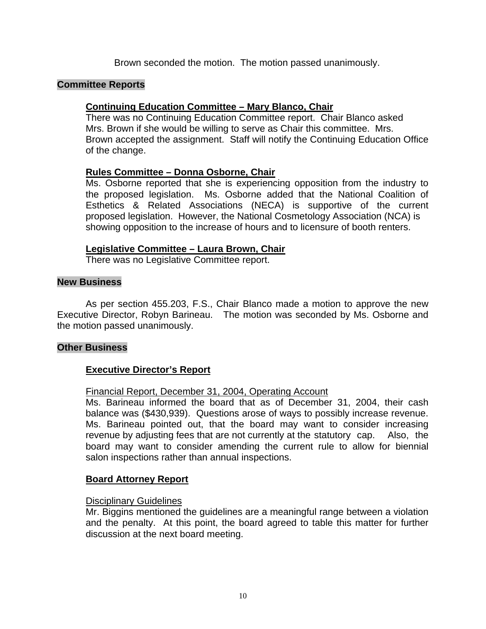Brown seconded the motion. The motion passed unanimously.

## **Committee Reports**

## **Continuing Education Committee – Mary Blanco, Chair**

There was no Continuing Education Committee report. Chair Blanco asked Mrs. Brown if she would be willing to serve as Chair this committee. Mrs. Brown accepted the assignment. Staff will notify the Continuing Education Office of the change.

## **Rules Committee – Donna Osborne, Chair**

Ms. Osborne reported that she is experiencing opposition from the industry to the proposed legislation. Ms. Osborne added that the National Coalition of Esthetics & Related Associations (NECA) is supportive of the current proposed legislation. However, the National Cosmetology Association (NCA) is showing opposition to the increase of hours and to licensure of booth renters.

### **Legislative Committee – Laura Brown, Chair**

There was no Legislative Committee report.

#### **New Business**

As per section 455.203, F.S., Chair Blanco made a motion to approve the new Executive Director, Robyn Barineau. The motion was seconded by Ms. Osborne and the motion passed unanimously.

#### **Other Business**

## **Executive Director's Report**

#### Financial Report, December 31, 2004, Operating Account

Ms. Barineau informed the board that as of December 31, 2004, their cash balance was (\$430,939). Questions arose of ways to possibly increase revenue. Ms. Barineau pointed out, that the board may want to consider increasing revenue by adjusting fees that are not currently at the statutory cap. Also, the board may want to consider amending the current rule to allow for biennial salon inspections rather than annual inspections.

#### **Board Attorney Report**

#### Disciplinary Guidelines

Mr. Biggins mentioned the guidelines are a meaningful range between a violation and the penalty. At this point, the board agreed to table this matter for further discussion at the next board meeting.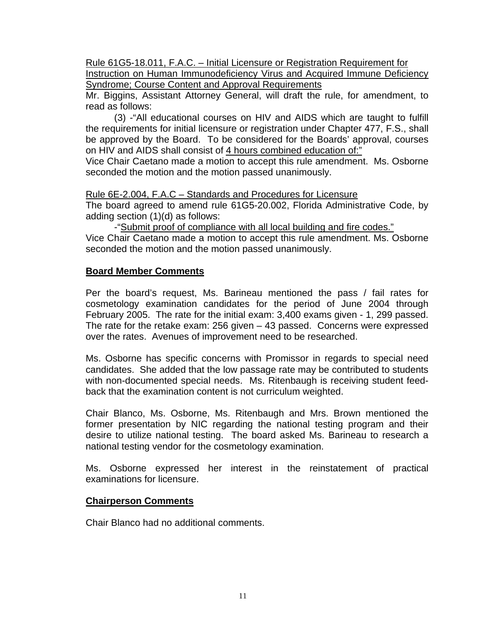Rule 61G5-18.011, F.A.C. – Initial Licensure or Registration Requirement for Instruction on Human Immunodeficiency Virus and Acquired Immune Deficiency Syndrome; Course Content and Approval Requirements

Mr. Biggins, Assistant Attorney General, will draft the rule, for amendment, to read as follows:

(3) -"All educational courses on HIV and AIDS which are taught to fulfill the requirements for initial licensure or registration under Chapter 477, F.S., shall be approved by the Board. To be considered for the Boards' approval, courses on HIV and AIDS shall consist of 4 hours combined education of:"

Vice Chair Caetano made a motion to accept this rule amendment. Ms. Osborne seconded the motion and the motion passed unanimously.

Rule 6E-2.004, F.A.C - Standards and Procedures for Licensure

The board agreed to amend rule 61G5-20.002, Florida Administrative Code, by adding section (1)(d) as follows:

-"Submit proof of compliance with all local building and fire codes." Vice Chair Caetano made a motion to accept this rule amendment. Ms. Osborne seconded the motion and the motion passed unanimously.

# **Board Member Comments**

Per the board's request, Ms. Barineau mentioned the pass / fail rates for cosmetology examination candidates for the period of June 2004 through February 2005. The rate for the initial exam: 3,400 exams given - 1, 299 passed. The rate for the retake exam: 256 given – 43 passed. Concerns were expressed over the rates. Avenues of improvement need to be researched.

Ms. Osborne has specific concerns with Promissor in regards to special need candidates. She added that the low passage rate may be contributed to students with non-documented special needs. Ms. Ritenbaugh is receiving student feedback that the examination content is not curriculum weighted.

Chair Blanco, Ms. Osborne, Ms. Ritenbaugh and Mrs. Brown mentioned the former presentation by NIC regarding the national testing program and their desire to utilize national testing. The board asked Ms. Barineau to research a national testing vendor for the cosmetology examination.

Ms. Osborne expressed her interest in the reinstatement of practical examinations for licensure.

## **Chairperson Comments**

Chair Blanco had no additional comments.